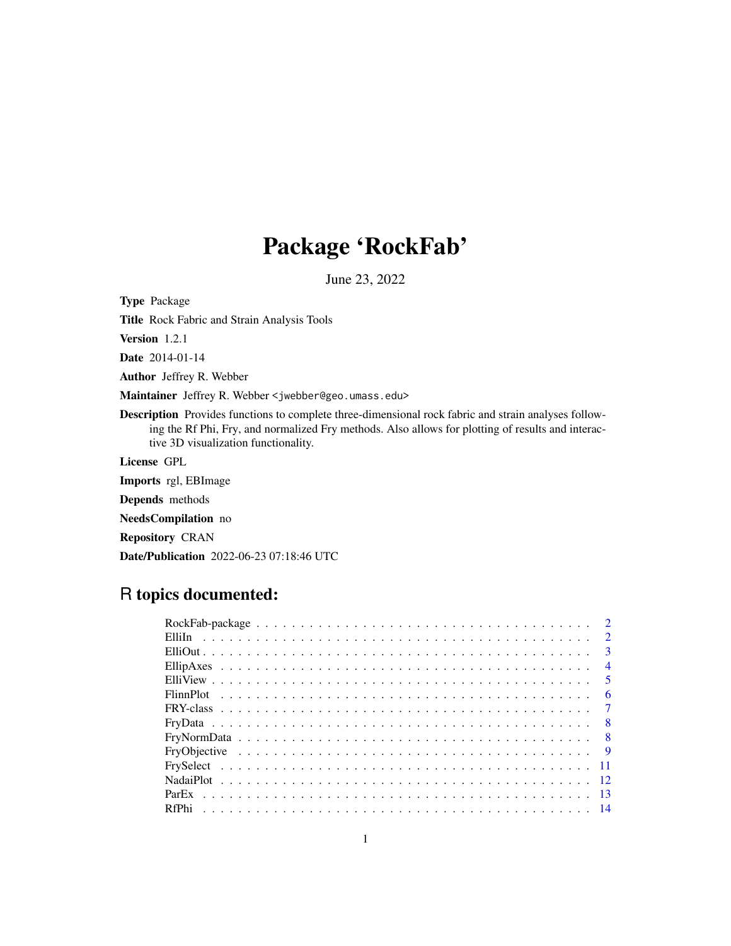# Package 'RockFab'

June 23, 2022

Type Package

Title Rock Fabric and Strain Analysis Tools

Version 1.2.1

Date 2014-01-14

Author Jeffrey R. Webber

Maintainer Jeffrey R. Webber <jwebber@geo.umass.edu>

Description Provides functions to complete three-dimensional rock fabric and strain analyses following the Rf Phi, Fry, and normalized Fry methods. Also allows for plotting of results and interactive 3D visualization functionality.

License GPL

Imports rgl, EBImage

Depends methods

NeedsCompilation no

Repository CRAN

Date/Publication 2022-06-23 07:18:46 UTC

## R topics documented:

| $\overline{\mathbf{3}}$ |                |
|-------------------------|----------------|
|                         | $\overline{4}$ |
| $\sqrt{5}$              |                |
|                         | - 6            |
|                         |                |
|                         |                |
|                         |                |
|                         |                |
|                         |                |
|                         |                |
|                         |                |
|                         |                |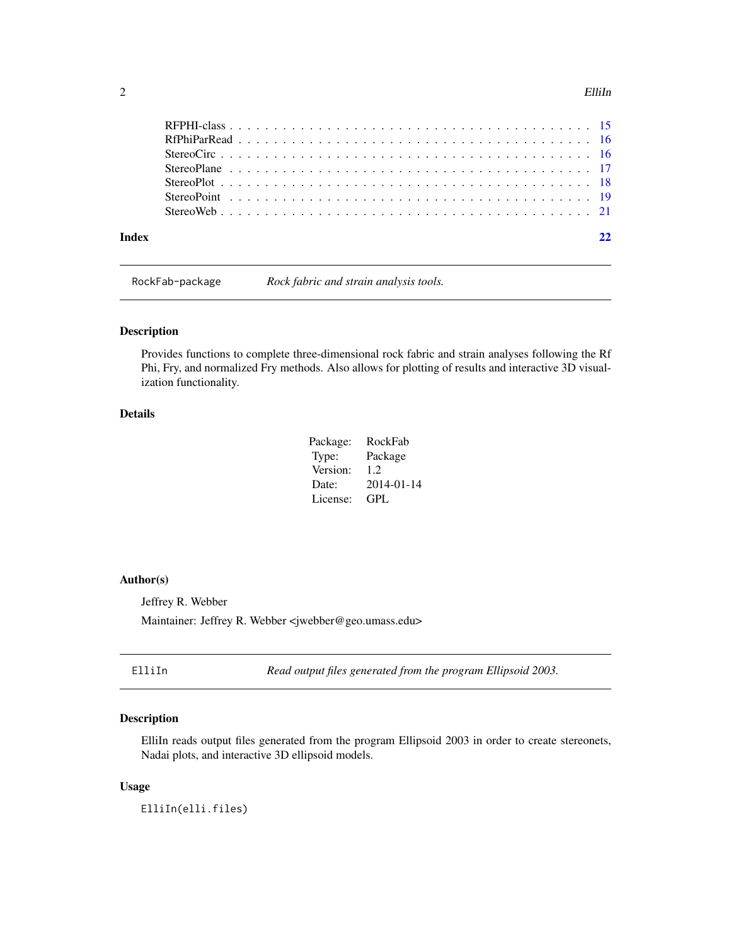#### <span id="page-1-0"></span> $2 \t\t\t \tElliln$

| Indev |  |
|-------|--|
|       |  |
|       |  |
|       |  |
|       |  |
|       |  |
|       |  |
|       |  |

RockFab-package *Rock fabric and strain analysis tools.*

#### Description

Provides functions to complete three-dimensional rock fabric and strain analyses following the Rf Phi, Fry, and normalized Fry methods. Also allows for plotting of results and interactive 3D visualization functionality.

## Details

| Package: | RockFab    |
|----------|------------|
| Type:    | Package    |
| Version: | 1.2        |
| Date:    | 2014-01-14 |
| License: | GPL.       |

## Author(s)

Jeffrey R. Webber

Maintainer: Jeffrey R. Webber <jwebber@geo.umass.edu>

<span id="page-1-1"></span>ElliIn *Read output files generated from the program Ellipsoid 2003.*

## Description

ElliIn reads output files generated from the program Ellipsoid 2003 in order to create stereonets, Nadai plots, and interactive 3D ellipsoid models.

#### Usage

ElliIn(elli.files)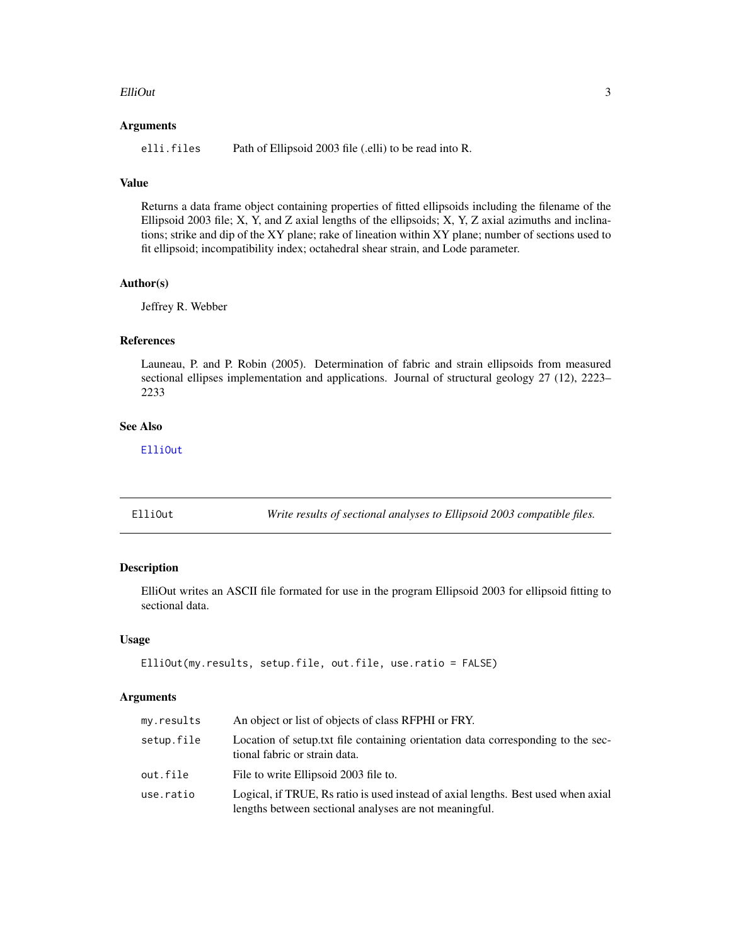#### <span id="page-2-0"></span>ElliOut 3

#### Arguments

elli. files Path of Ellipsoid 2003 file (.elli) to be read into R.

## Value

Returns a data frame object containing properties of fitted ellipsoids including the filename of the Ellipsoid 2003 file; X, Y, and Z axial lengths of the ellipsoids; X, Y, Z axial azimuths and inclinations; strike and dip of the XY plane; rake of lineation within XY plane; number of sections used to fit ellipsoid; incompatibility index; octahedral shear strain, and Lode parameter.

#### Author(s)

Jeffrey R. Webber

## References

Launeau, P. and P. Robin (2005). Determination of fabric and strain ellipsoids from measured sectional ellipses implementation and applications. Journal of structural geology 27 (12), 2223– 2233

## See Also

[ElliOut](#page-2-1)

<span id="page-2-1"></span>ElliOut *Write results of sectional analyses to Ellipsoid 2003 compatible files.*

#### Description

ElliOut writes an ASCII file formated for use in the program Ellipsoid 2003 for ellipsoid fitting to sectional data.

#### Usage

```
ElliOut(my.results, setup.file, out.file, use.ratio = FALSE)
```
## Arguments

| my.results | An object or list of objects of class RFPHI or FRY.                                                                                         |
|------------|---------------------------------------------------------------------------------------------------------------------------------------------|
| setup.file | Location of setup.txt file containing orientation data corresponding to the sec-<br>tional fabric or strain data.                           |
| out.file   | File to write Ellipsoid 2003 file to.                                                                                                       |
| use.ratio  | Logical, if TRUE, Rs ratio is used instead of axial lengths. Best used when axial<br>lengths between sectional analyses are not meaningful. |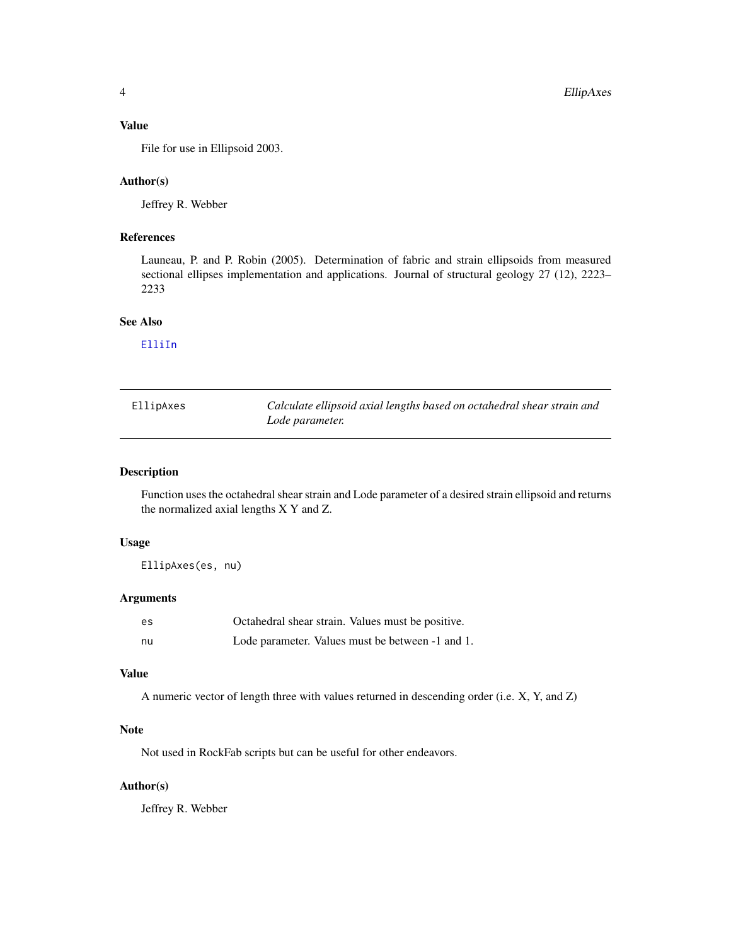## <span id="page-3-0"></span>Value

File for use in Ellipsoid 2003.

#### Author(s)

Jeffrey R. Webber

## References

Launeau, P. and P. Robin (2005). Determination of fabric and strain ellipsoids from measured sectional ellipses implementation and applications. Journal of structural geology 27 (12), 2223– 2233

#### See Also

[ElliIn](#page-1-1)

| EllipAxes | Calculate ellipsoid axial lengths based on octahedral shear strain and |
|-----------|------------------------------------------------------------------------|
|           | Lode parameter.                                                        |

## Description

Function uses the octahedral shear strain and Lode parameter of a desired strain ellipsoid and returns the normalized axial lengths X Y and Z.

#### Usage

EllipAxes(es, nu)

## Arguments

| es | Octahedral shear strain. Values must be positive. |
|----|---------------------------------------------------|
| nu | Lode parameter. Values must be between -1 and 1.  |

#### Value

A numeric vector of length three with values returned in descending order (i.e. X, Y, and Z)

## Note

Not used in RockFab scripts but can be useful for other endeavors.

## Author(s)

Jeffrey R. Webber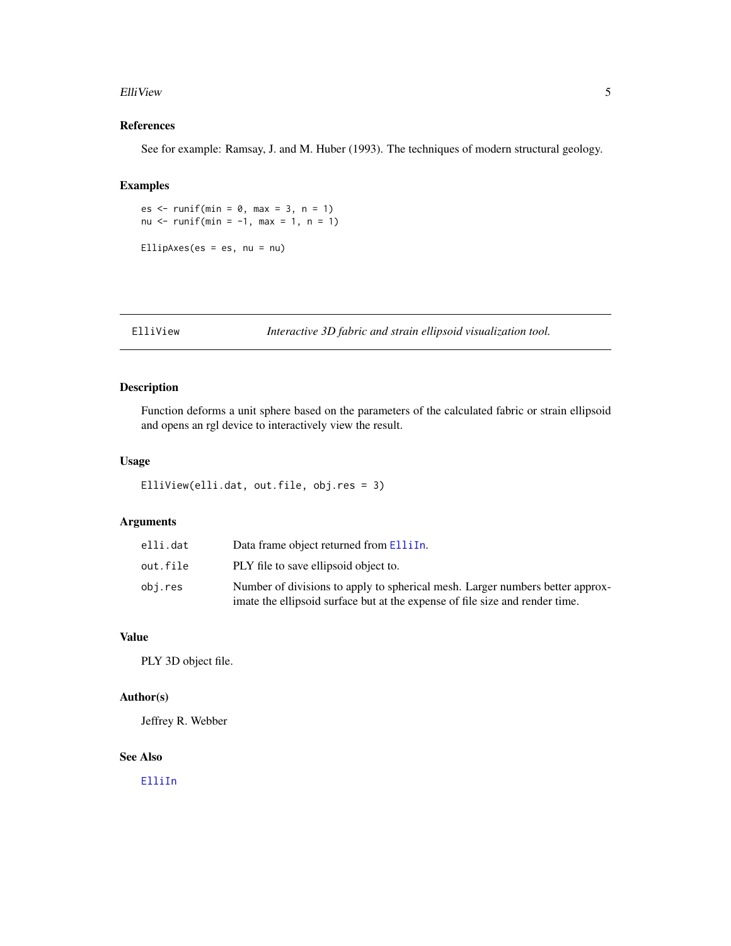#### <span id="page-4-0"></span>Elli View 5

## References

See for example: Ramsay, J. and M. Huber (1993). The techniques of modern structural geology.

## Examples

es  $\le$  runif(min = 0, max = 3, n = 1) nu <- runif(min =  $-1$ , max = 1, n = 1) EllipAxes(es = es, nu = nu)

ElliView *Interactive 3D fabric and strain ellipsoid visualization tool.*

## Description

Function deforms a unit sphere based on the parameters of the calculated fabric or strain ellipsoid and opens an rgl device to interactively view the result.

## Usage

```
ElliView(elli.dat, out.file, obj.res = 3)
```
## Arguments

| elli.dat | Data frame object returned from ElliIn.                                                                                                                       |
|----------|---------------------------------------------------------------------------------------------------------------------------------------------------------------|
| out.file | PLY file to save ellipsoid object to.                                                                                                                         |
| obi.res  | Number of divisions to apply to spherical mesh. Larger numbers better approx-<br>imate the ellipsoid surface but at the expense of file size and render time. |

## Value

PLY 3D object file.

## Author(s)

Jeffrey R. Webber

## See Also

[ElliIn](#page-1-1)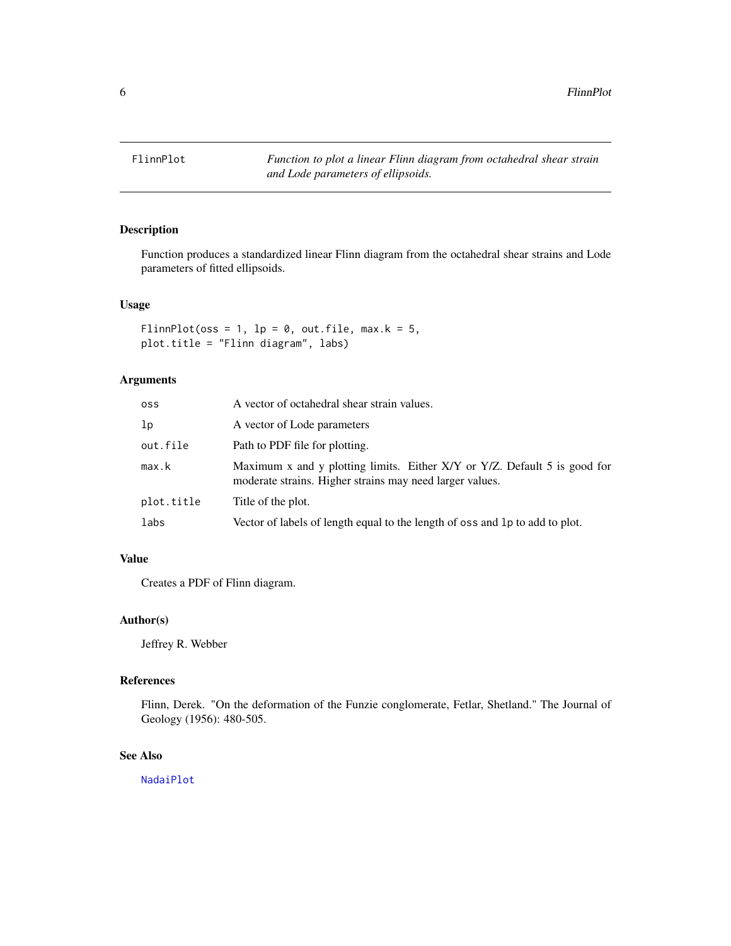<span id="page-5-1"></span><span id="page-5-0"></span>

Function produces a standardized linear Flinn diagram from the octahedral shear strains and Lode parameters of fitted ellipsoids.

#### Usage

```
FlinnPlot(oss = 1, lp = 0, out.file, max.k = 5,
plot.title = "Flinn diagram", labs)
```
## Arguments

| oss        | A vector of octahedral shear strain values.                                                                                           |
|------------|---------------------------------------------------------------------------------------------------------------------------------------|
| lp         | A vector of Lode parameters                                                                                                           |
| out.file   | Path to PDF file for plotting.                                                                                                        |
| max.k      | Maximum x and y plotting limits. Either X/Y or Y/Z. Default 5 is good for<br>moderate strains. Higher strains may need larger values. |
| plot.title | Title of the plot.                                                                                                                    |
| labs       | Vector of labels of length equal to the length of oss and 1p to add to plot.                                                          |

## Value

Creates a PDF of Flinn diagram.

## Author(s)

Jeffrey R. Webber

#### References

Flinn, Derek. "On the deformation of the Funzie conglomerate, Fetlar, Shetland." The Journal of Geology (1956): 480-505.

## See Also

[NadaiPlot](#page-11-1)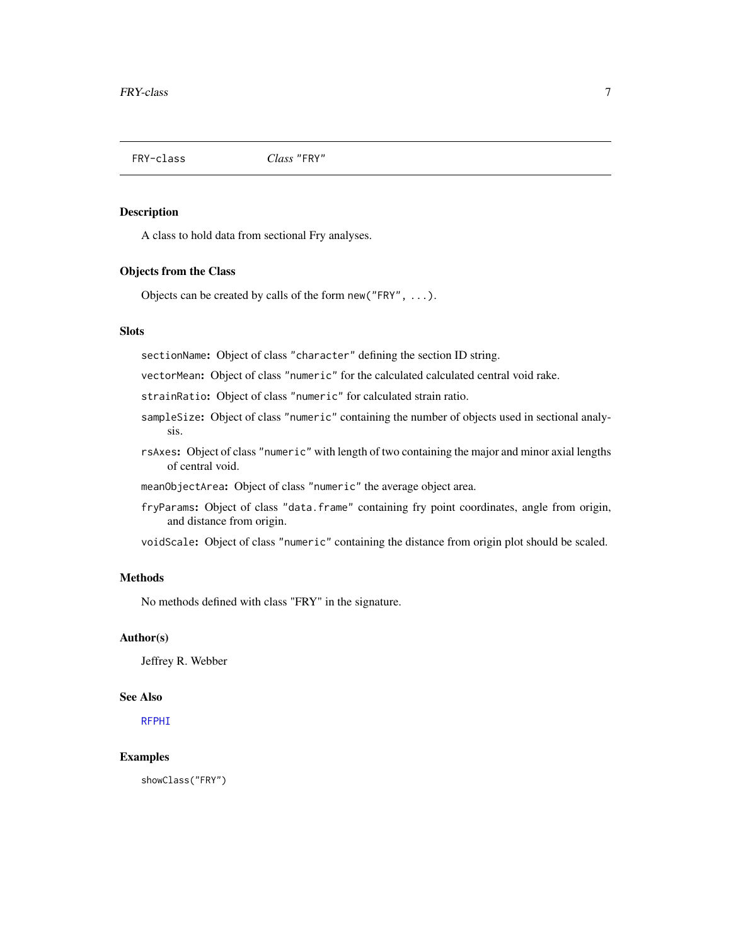<span id="page-6-1"></span><span id="page-6-0"></span>

A class to hold data from sectional Fry analyses.

## Objects from the Class

Objects can be created by calls of the form new("FRY", ...).

#### **Slots**

sectionName: Object of class "character" defining the section ID string.

vectorMean: Object of class "numeric" for the calculated calculated central void rake.

strainRatio: Object of class "numeric" for calculated strain ratio.

- sampleSize: Object of class "numeric" containing the number of objects used in sectional analysis.
- rsAxes: Object of class "numeric" with length of two containing the major and minor axial lengths of central void.
- meanObjectArea: Object of class "numeric" the average object area.
- fryParams: Object of class "data.frame" containing fry point coordinates, angle from origin, and distance from origin.
- voidScale: Object of class "numeric" containing the distance from origin plot should be scaled.

## **Methods**

No methods defined with class "FRY" in the signature.

## Author(s)

Jeffrey R. Webber

## See Also

[RFPHI](#page-14-1)

#### Examples

showClass("FRY")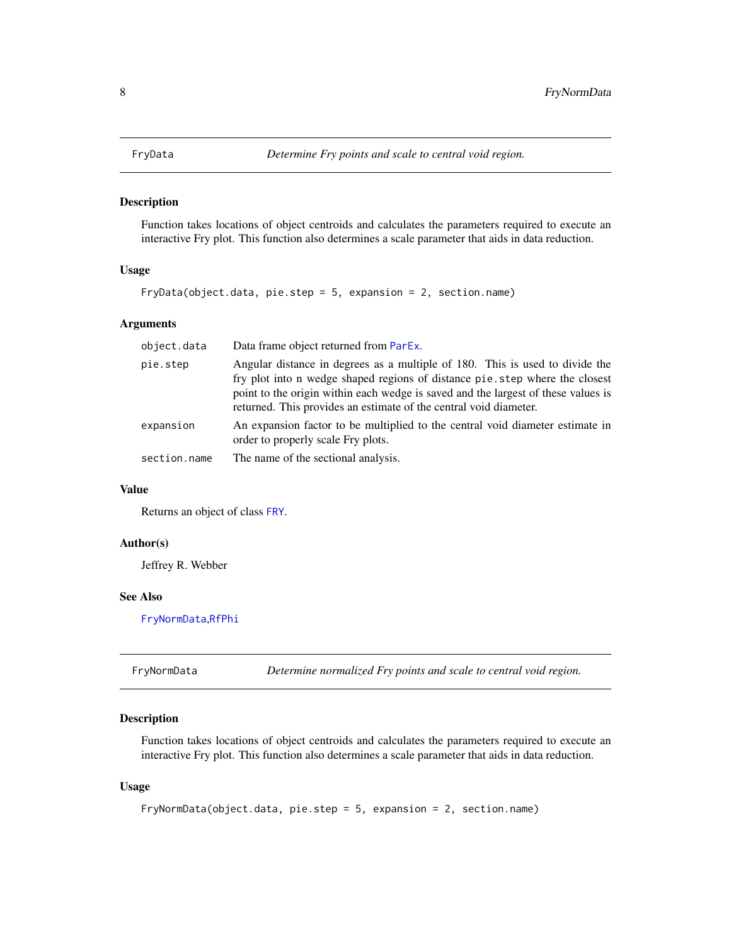<span id="page-7-2"></span><span id="page-7-0"></span>

Function takes locations of object centroids and calculates the parameters required to execute an interactive Fry plot. This function also determines a scale parameter that aids in data reduction.

## Usage

```
FryData(object.data, pie.step = 5, expansion = 2, section.name)
```
## Arguments

| object.data  | Data frame object returned from ParEx.                                                                                                                                                                                                                                                                                |
|--------------|-----------------------------------------------------------------------------------------------------------------------------------------------------------------------------------------------------------------------------------------------------------------------------------------------------------------------|
| pie.step     | Angular distance in degrees as a multiple of 180. This is used to divide the<br>fry plot into n wedge shaped regions of distance pie.step where the closest<br>point to the origin within each wedge is saved and the largest of these values is<br>returned. This provides an estimate of the central void diameter. |
| expansion    | An expansion factor to be multiplied to the central void diameter estimate in<br>order to properly scale Fry plots.                                                                                                                                                                                                   |
| section.name | The name of the sectional analysis.                                                                                                                                                                                                                                                                                   |

## Value

Returns an object of class [FRY](#page-6-1).

#### Author(s)

Jeffrey R. Webber

## See Also

[FryNormData](#page-7-1),[RfPhi](#page-13-1)

<span id="page-7-1"></span>

| FryNormData | Determine normalized Fry points and scale to central void region. |  |
|-------------|-------------------------------------------------------------------|--|
|-------------|-------------------------------------------------------------------|--|

## Description

Function takes locations of object centroids and calculates the parameters required to execute an interactive Fry plot. This function also determines a scale parameter that aids in data reduction.

#### Usage

```
FryNormData(object.data, pie.step = 5, expansion = 2, section.name)
```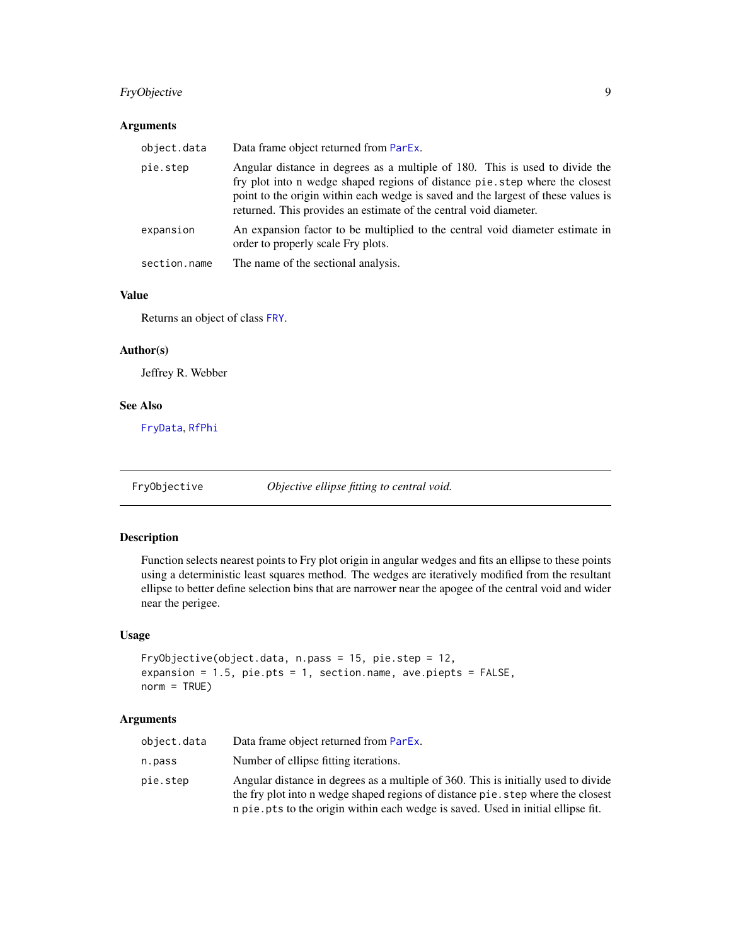## <span id="page-8-0"></span>FryObjective 9

## Arguments

| object.data  | Data frame object returned from ParEx.                                                                                                                                                                                                                                                                                |
|--------------|-----------------------------------------------------------------------------------------------------------------------------------------------------------------------------------------------------------------------------------------------------------------------------------------------------------------------|
| pie.step     | Angular distance in degrees as a multiple of 180. This is used to divide the<br>fry plot into n wedge shaped regions of distance pie.step where the closest<br>point to the origin within each wedge is saved and the largest of these values is<br>returned. This provides an estimate of the central void diameter. |
| expansion    | An expansion factor to be multiplied to the central void diameter estimate in<br>order to properly scale Fry plots.                                                                                                                                                                                                   |
| section.name | The name of the sectional analysis.                                                                                                                                                                                                                                                                                   |

## Value

Returns an object of class [FRY](#page-6-1).

## Author(s)

Jeffrey R. Webber

#### See Also

[FryData](#page-7-2), [RfPhi](#page-13-1)

FryObjective *Objective ellipse fitting to central void.*

## Description

Function selects nearest points to Fry plot origin in angular wedges and fits an ellipse to these points using a deterministic least squares method. The wedges are iteratively modified from the resultant ellipse to better define selection bins that are narrower near the apogee of the central void and wider near the perigee.

## Usage

```
FryObjective(object.data, n.pass = 15, pie.step = 12,
expansion = 1.5, pie.pts = 1, section.name, ave.piepts = FALSE,
norm = TRUE)
```
## Arguments

| object.data | Data frame object returned from ParEx.                                                                                                                                                                                                                      |
|-------------|-------------------------------------------------------------------------------------------------------------------------------------------------------------------------------------------------------------------------------------------------------------|
| n.pass      | Number of ellipse fitting iterations.                                                                                                                                                                                                                       |
| pie.step    | Angular distance in degrees as a multiple of 360. This is initially used to divide<br>the fry plot into n wedge shaped regions of distance pie. step where the closest<br>n pie. pts to the origin within each wedge is saved. Used in initial ellipse fit. |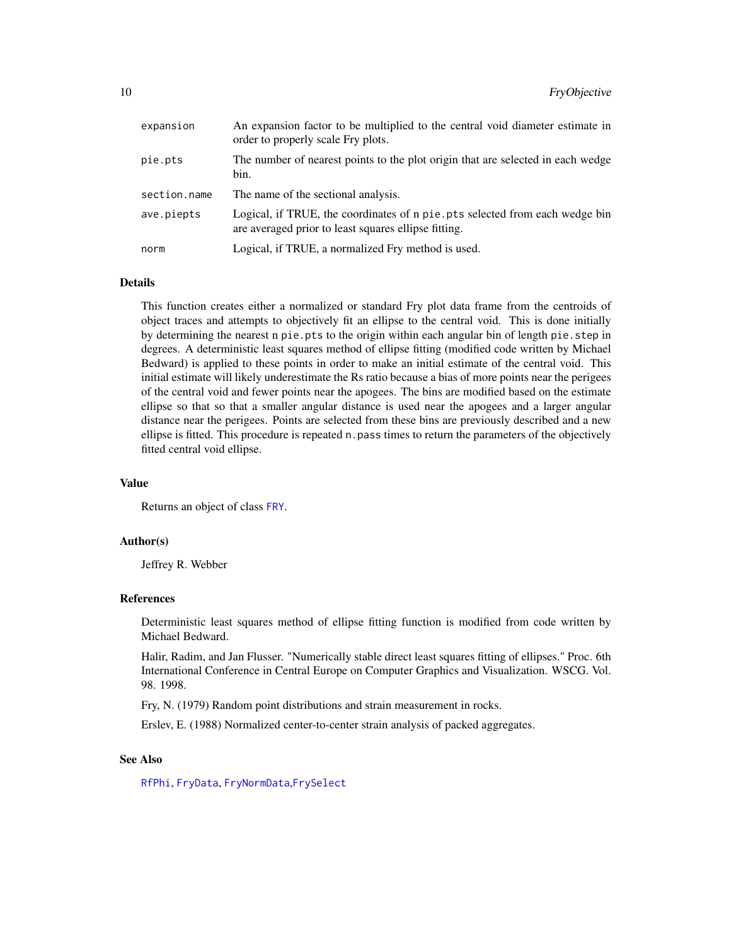<span id="page-9-0"></span>

| expansion    | An expansion factor to be multiplied to the central void diameter estimate in<br>order to properly scale Fry plots.                  |
|--------------|--------------------------------------------------------------------------------------------------------------------------------------|
| pie.pts      | The number of nearest points to the plot origin that are selected in each wedge<br>bin.                                              |
| section.name | The name of the sectional analysis.                                                                                                  |
| ave.piepts   | Logical, if TRUE, the coordinates of n pie. pts selected from each wedge bin<br>are averaged prior to least squares ellipse fitting. |
| norm         | Logical, if TRUE, a normalized Fry method is used.                                                                                   |

#### Details

This function creates either a normalized or standard Fry plot data frame from the centroids of object traces and attempts to objectively fit an ellipse to the central void. This is done initially by determining the nearest n pie.pts to the origin within each angular bin of length pie.step in degrees. A deterministic least squares method of ellipse fitting (modified code written by Michael Bedward) is applied to these points in order to make an initial estimate of the central void. This initial estimate will likely underestimate the Rs ratio because a bias of more points near the perigees of the central void and fewer points near the apogees. The bins are modified based on the estimate ellipse so that so that a smaller angular distance is used near the apogees and a larger angular distance near the perigees. Points are selected from these bins are previously described and a new ellipse is fitted. This procedure is repeated n.pass times to return the parameters of the objectively fitted central void ellipse.

#### Value

Returns an object of class [FRY](#page-6-1).

#### Author(s)

Jeffrey R. Webber

#### References

Deterministic least squares method of ellipse fitting function is modified from code written by Michael Bedward.

Halir, Radim, and Jan Flusser. "Numerically stable direct least squares fitting of ellipses." Proc. 6th International Conference in Central Europe on Computer Graphics and Visualization. WSCG. Vol. 98. 1998.

Fry, N. (1979) Random point distributions and strain measurement in rocks.

Erslev, E. (1988) Normalized center-to-center strain analysis of packed aggregates.

#### See Also

[RfPhi](#page-13-1), [FryData](#page-7-2), [FryNormData](#page-7-1),[FrySelect](#page-10-1)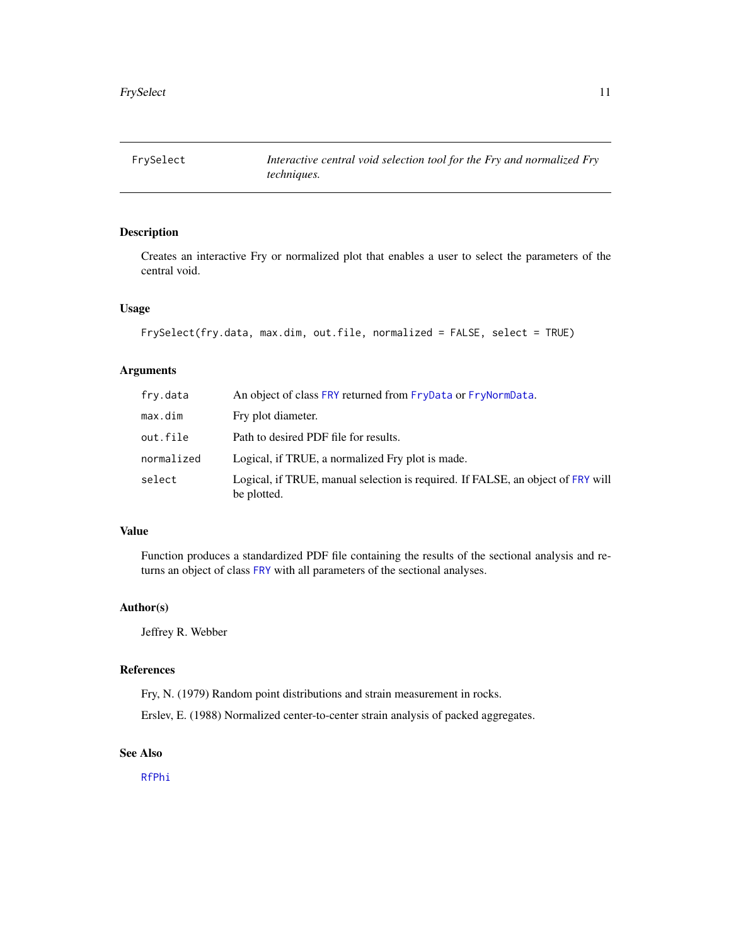<span id="page-10-1"></span><span id="page-10-0"></span>

Creates an interactive Fry or normalized plot that enables a user to select the parameters of the central void.

## Usage

```
FrySelect(fry.data, max.dim, out.file, normalized = FALSE, select = TRUE)
```
## Arguments

| fry.data   | An object of class FRY returned from FryData or FryNormData.                                   |
|------------|------------------------------------------------------------------------------------------------|
| max.dim    | Fry plot diameter.                                                                             |
| out.file   | Path to desired PDF file for results.                                                          |
| normalized | Logical, if TRUE, a normalized Fry plot is made.                                               |
| select     | Logical, if TRUE, manual selection is required. If FALSE, an object of FRY will<br>be plotted. |

## Value

Function produces a standardized PDF file containing the results of the sectional analysis and returns an object of class [FRY](#page-6-1) with all parameters of the sectional analyses.

## Author(s)

Jeffrey R. Webber

## References

Fry, N. (1979) Random point distributions and strain measurement in rocks.

Erslev, E. (1988) Normalized center-to-center strain analysis of packed aggregates.

#### See Also

[RfPhi](#page-13-1)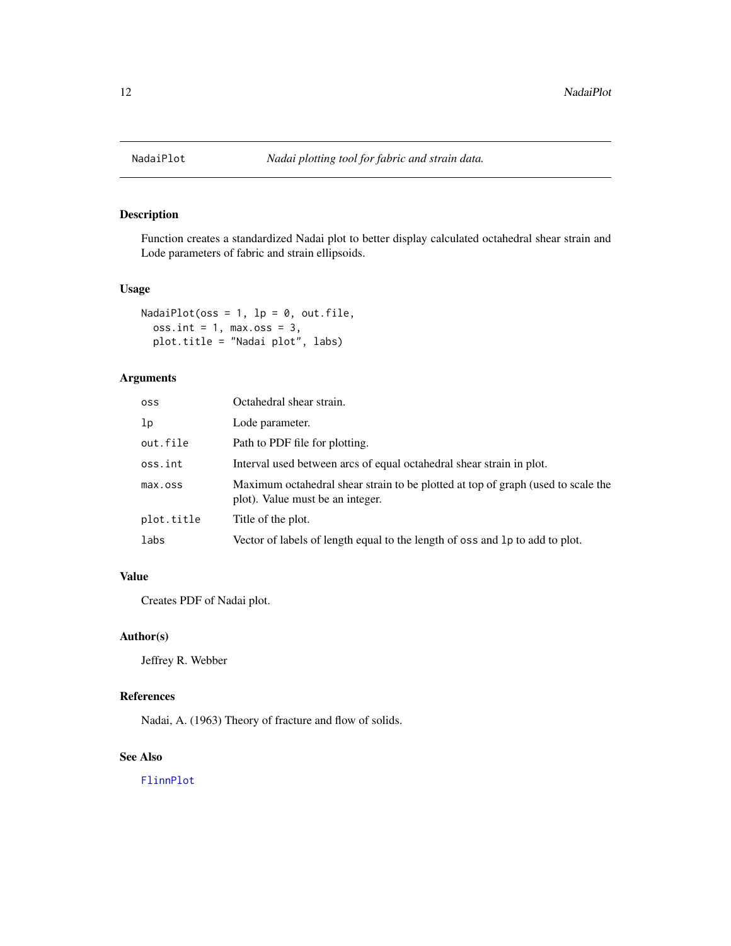<span id="page-11-1"></span><span id="page-11-0"></span>

Function creates a standardized Nadai plot to better display calculated octahedral shear strain and Lode parameters of fabric and strain ellipsoids.

## Usage

```
NadaiPlot(oss = 1, lp = 0, out.file,
 oss.int = 1, max.oss = 3,plot.title = "Nadai plot", labs)
```
## Arguments

| <b>OSS</b> | Octahedral shear strain.                                                                                             |
|------------|----------------------------------------------------------------------------------------------------------------------|
| 1p         | Lode parameter.                                                                                                      |
| out.file   | Path to PDF file for plotting.                                                                                       |
| oss.int    | Interval used between arcs of equal octahedral shear strain in plot.                                                 |
| max.oss    | Maximum octahedral shear strain to be plotted at top of graph (used to scale the<br>plot). Value must be an integer. |
| plot.title | Title of the plot.                                                                                                   |
| labs       | Vector of labels of length equal to the length of oss and 1p to add to plot.                                         |

## Value

Creates PDF of Nadai plot.

## Author(s)

Jeffrey R. Webber

## References

Nadai, A. (1963) Theory of fracture and flow of solids.

## See Also

[FlinnPlot](#page-5-1)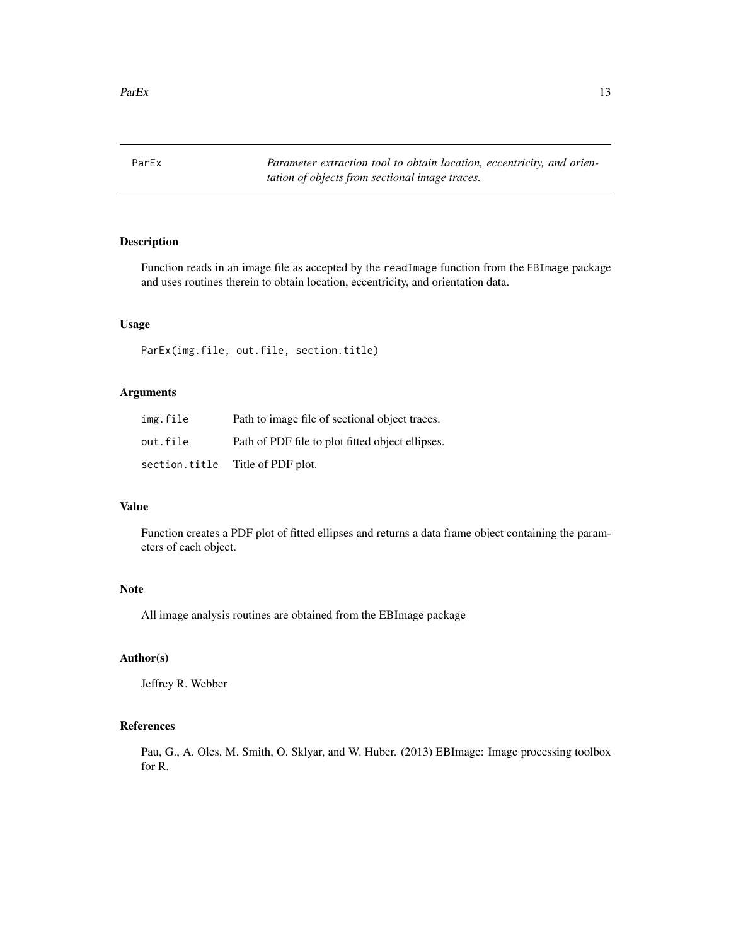<span id="page-12-1"></span><span id="page-12-0"></span>ParEx *Parameter extraction tool to obtain location, eccentricity, and orientation of objects from sectional image traces.*

## Description

Function reads in an image file as accepted by the readImage function from the EBImage package and uses routines therein to obtain location, eccentricity, and orientation data.

#### Usage

ParEx(img.file, out.file, section.title)

## Arguments

| img.file      | Path to image file of sectional object traces.   |
|---------------|--------------------------------------------------|
| out.file      | Path of PDF file to plot fitted object ellipses. |
| section.title | Title of PDF plot.                               |

## Value

Function creates a PDF plot of fitted ellipses and returns a data frame object containing the parameters of each object.

### Note

All image analysis routines are obtained from the EBImage package

#### Author(s)

Jeffrey R. Webber

## References

Pau, G., A. Oles, M. Smith, O. Sklyar, and W. Huber. (2013) EBImage: Image processing toolbox for R.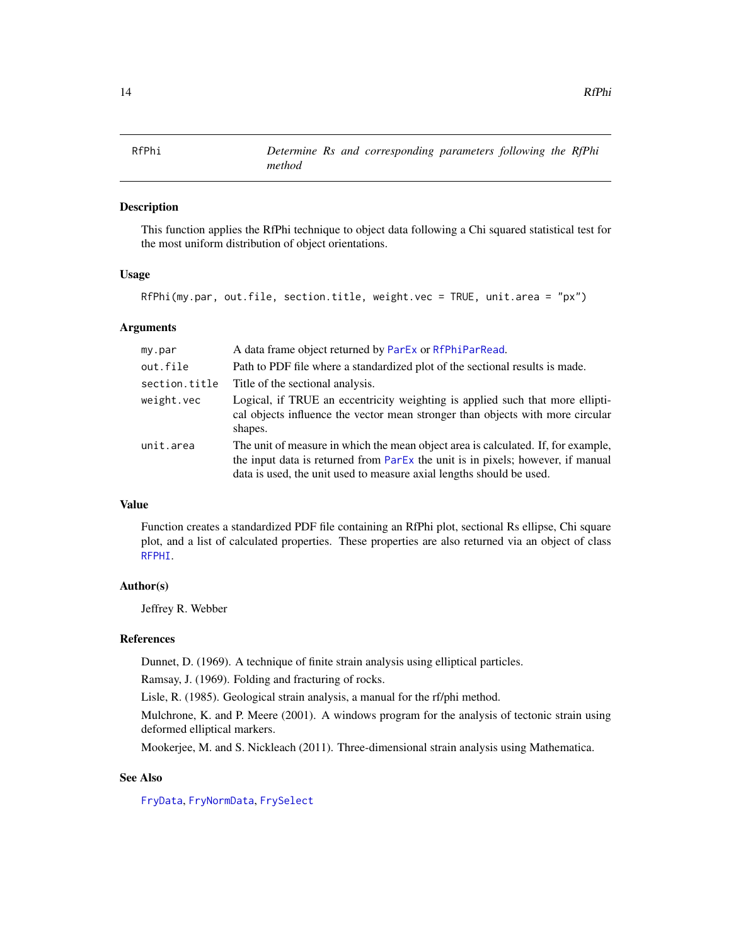<span id="page-13-1"></span><span id="page-13-0"></span>

This function applies the RfPhi technique to object data following a Chi squared statistical test for the most uniform distribution of object orientations.

## Usage

RfPhi(my.par, out.file, section.title, weight.vec = TRUE, unit.area = "px")

#### Arguments

| my.par        | A data frame object returned by ParEx or RfPhiParRead.                                                                                                                                                                                       |
|---------------|----------------------------------------------------------------------------------------------------------------------------------------------------------------------------------------------------------------------------------------------|
| out.file      | Path to PDF file where a standardized plot of the sectional results is made.                                                                                                                                                                 |
| section.title | Title of the sectional analysis.                                                                                                                                                                                                             |
| weight.vec    | Logical, if TRUE an eccentricity weighting is applied such that more ellipti-<br>cal objects influence the vector mean stronger than objects with more circular<br>shapes.                                                                   |
| unit.area     | The unit of measure in which the mean object area is calculated. If, for example,<br>the input data is returned from ParEx the unit is in pixels; however, if manual<br>data is used, the unit used to measure axial lengths should be used. |

## Value

Function creates a standardized PDF file containing an RfPhi plot, sectional Rs ellipse, Chi square plot, and a list of calculated properties. These properties are also returned via an object of class [RFPHI](#page-14-1).

## Author(s)

Jeffrey R. Webber

#### References

Dunnet, D. (1969). A technique of finite strain analysis using elliptical particles.

Ramsay, J. (1969). Folding and fracturing of rocks.

Lisle, R. (1985). Geological strain analysis, a manual for the rf/phi method.

Mulchrone, K. and P. Meere (2001). A windows program for the analysis of tectonic strain using deformed elliptical markers.

Mookerjee, M. and S. Nickleach (2011). Three-dimensional strain analysis using Mathematica.

#### See Also

[FryData](#page-7-2), [FryNormData](#page-7-1), [FrySelect](#page-10-1)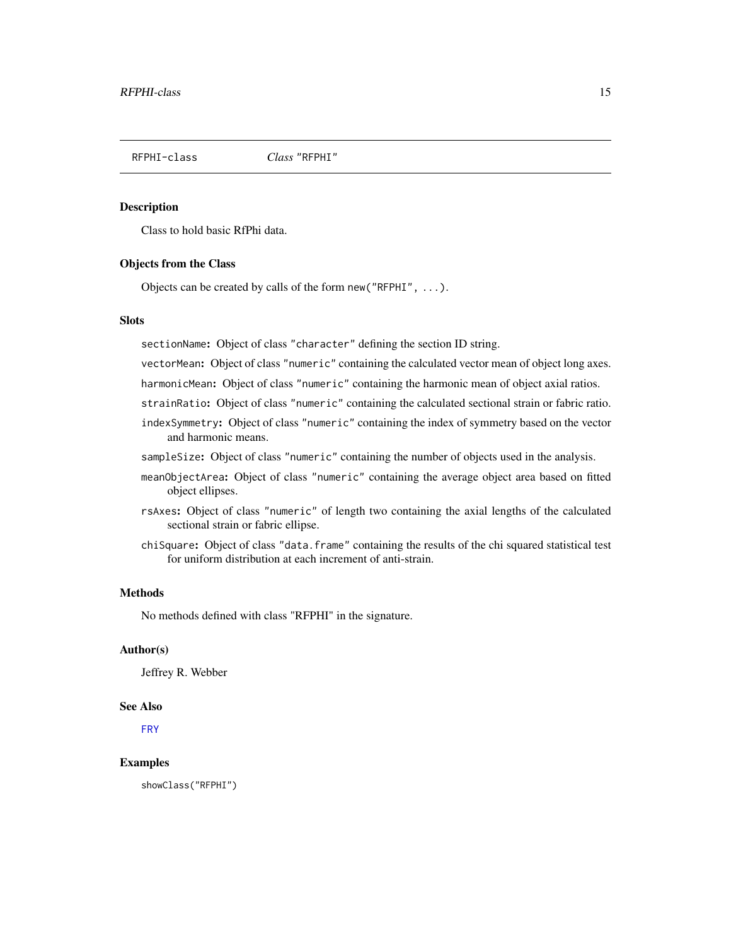<span id="page-14-1"></span><span id="page-14-0"></span>RFPHI-class *Class* "RFPHI"

#### Description

Class to hold basic RfPhi data.

#### Objects from the Class

Objects can be created by calls of the form new("RFPHI", ...).

#### Slots

sectionName: Object of class "character" defining the section ID string.

vectorMean: Object of class "numeric" containing the calculated vector mean of object long axes.

harmonicMean: Object of class "numeric" containing the harmonic mean of object axial ratios.

- strainRatio: Object of class "numeric" containing the calculated sectional strain or fabric ratio.
- indexSymmetry: Object of class "numeric" containing the index of symmetry based on the vector and harmonic means.
- sampleSize: Object of class "numeric" containing the number of objects used in the analysis.
- meanObjectArea: Object of class "numeric" containing the average object area based on fitted object ellipses.
- rsAxes: Object of class "numeric" of length two containing the axial lengths of the calculated sectional strain or fabric ellipse.
- chiSquare: Object of class "data.frame" containing the results of the chi squared statistical test for uniform distribution at each increment of anti-strain.

#### Methods

No methods defined with class "RFPHI" in the signature.

## Author(s)

Jeffrey R. Webber

#### See Also

[FRY](#page-6-1)

#### Examples

showClass("RFPHI")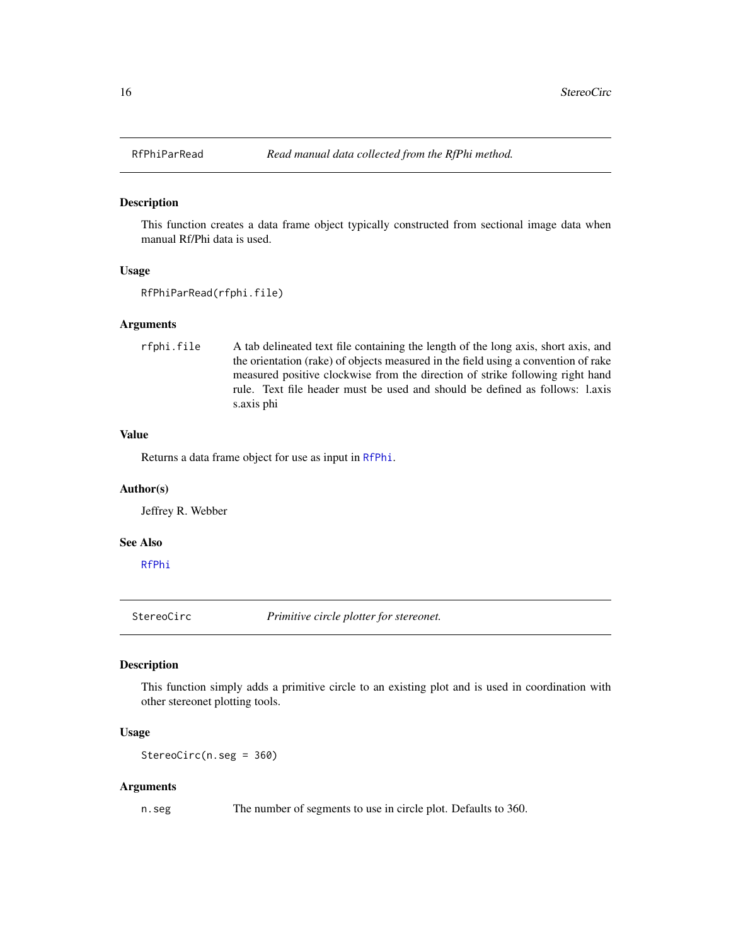<span id="page-15-1"></span><span id="page-15-0"></span>

This function creates a data frame object typically constructed from sectional image data when manual Rf/Phi data is used.

#### Usage

```
RfPhiParRead(rfphi.file)
```
#### Arguments

```
rfphi.file A tab delineated text file containing the length of the long axis, short axis, and
                   the orientation (rake) of objects measured in the field using a convention of rake
                   measured positive clockwise from the direction of strike following right hand
                   rule. Text file header must be used and should be defined as follows: l.axis
                   s.axis phi
```
#### Value

Returns a data frame object for use as input in [RfPhi](#page-13-1).

#### Author(s)

Jeffrey R. Webber

#### See Also

[RfPhi](#page-13-1)

<span id="page-15-2"></span>StereoCirc *Primitive circle plotter for stereonet.*

## Description

This function simply adds a primitive circle to an existing plot and is used in coordination with other stereonet plotting tools.

#### Usage

StereoCirc(n.seg = 360)

#### Arguments

n.seg The number of segments to use in circle plot. Defaults to 360.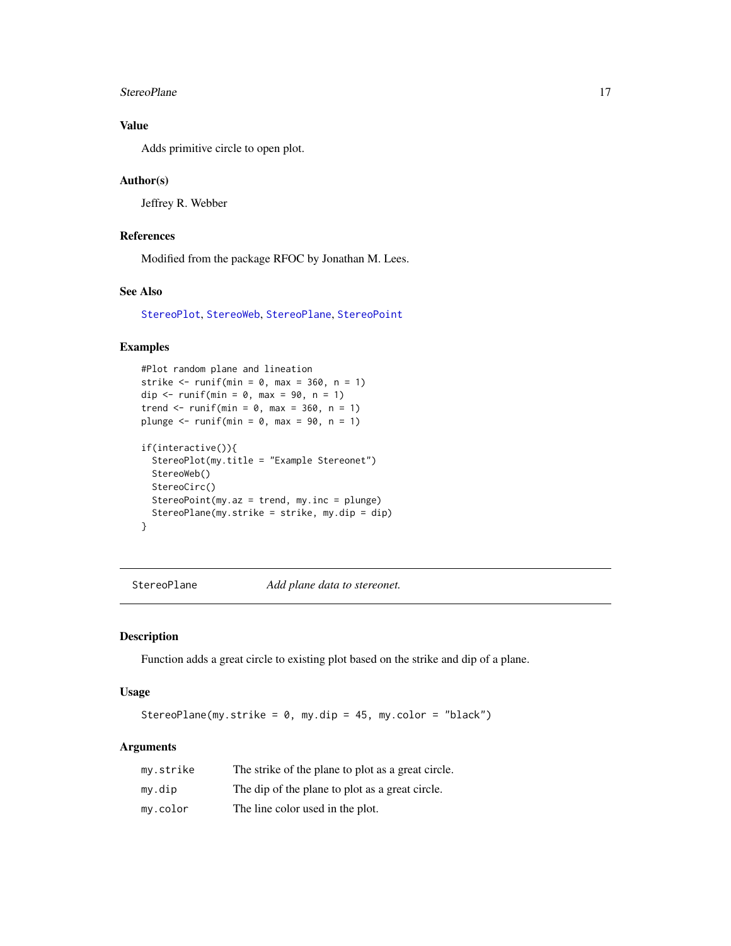#### <span id="page-16-0"></span>StereoPlane 17

## Value

Adds primitive circle to open plot.

#### Author(s)

Jeffrey R. Webber

## References

Modified from the package RFOC by Jonathan M. Lees.

## See Also

[StereoPlot](#page-17-1), [StereoWeb](#page-20-1), [StereoPlane](#page-16-1), [StereoPoint](#page-18-1)

## Examples

```
#Plot random plane and lineation
strike \le- runif(min = 0, max = 360, n = 1)
dip \langle- runif(min = 0, max = 90, n = 1)
trend \le runif(min = 0, max = 360, n = 1)
plunge \le runif(min = 0, max = 90, n = 1)
if(interactive()){
  StereoPlot(my.title = "Example Stereonet")
  StereoWeb()
  StereoCirc()
  StereoPoint(my.az = trend, my.inc = plunge)
  StereoPlane(my.strike = strike, my.dip = dip)
```

```
}
```
<span id="page-16-1"></span>StereoPlane *Add plane data to stereonet.*

## Description

Function adds a great circle to existing plot based on the strike and dip of a plane.

## Usage

StereoPlane(my.strike =  $0$ , my.dip =  $45$ , my.color = "black")

#### Arguments

| my.strike | The strike of the plane to plot as a great circle. |
|-----------|----------------------------------------------------|
| mv.dip    | The dip of the plane to plot as a great circle.    |
| my.color  | The line color used in the plot.                   |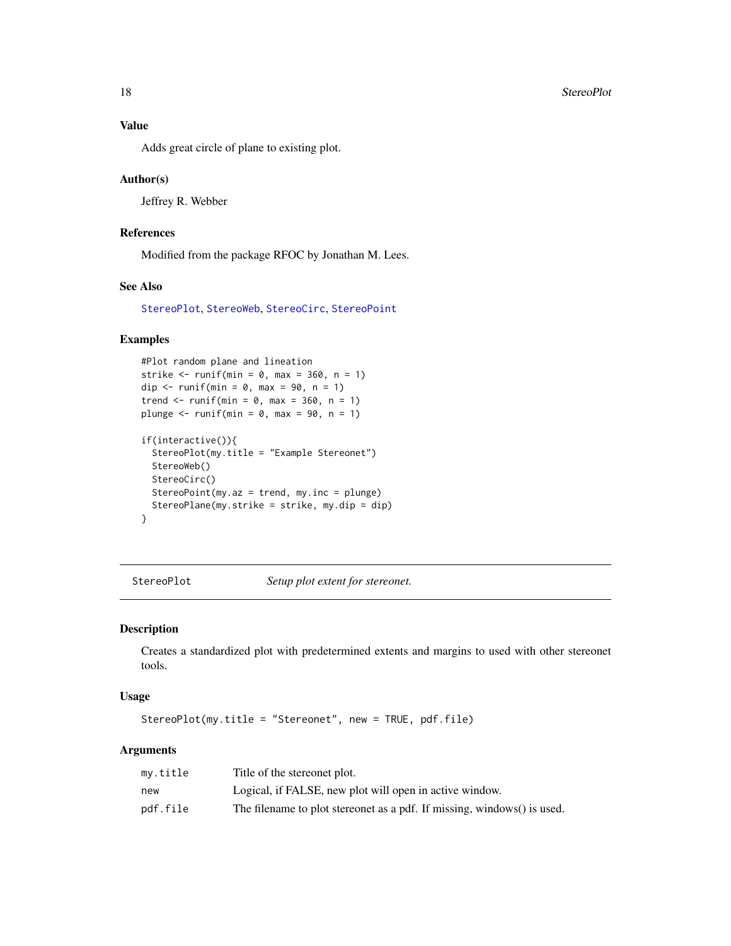<span id="page-17-0"></span>Adds great circle of plane to existing plot.

#### Author(s)

Jeffrey R. Webber

#### References

Modified from the package RFOC by Jonathan M. Lees.

## See Also

[StereoPlot](#page-17-1), [StereoWeb](#page-20-1), [StereoCirc](#page-15-2), [StereoPoint](#page-18-1)

## Examples

```
#Plot random plane and lineation
strike \le- runif(min = 0, max = 360, n = 1)
dip \leftarrow runif(min = 0, max = 90, n = 1)
trend \le runif(min = 0, max = 360, n = 1)
plunge \le runif(min = 0, max = 90, n = 1)
if(interactive()){
  StereoPlot(my.title = "Example Stereonet")
  StereoWeb()
  StereoCirc()
  StereoPoint(my.az = trend, my.inc = plunge)
  StereoPlane(my.strike = strike, my.dip = dip)
}
```
<span id="page-17-1"></span>StereoPlot *Setup plot extent for stereonet.*

#### Description

Creates a standardized plot with predetermined extents and margins to used with other stereonet tools.

#### Usage

StereoPlot(my.title = "Stereonet", new = TRUE, pdf.file)

#### Arguments

| my.title | Title of the stereonet plot.                                            |
|----------|-------------------------------------------------------------------------|
| new      | Logical, if FALSE, new plot will open in active window.                 |
| pdf.file | The filename to plot stereonet as a pdf. If missing, windows() is used. |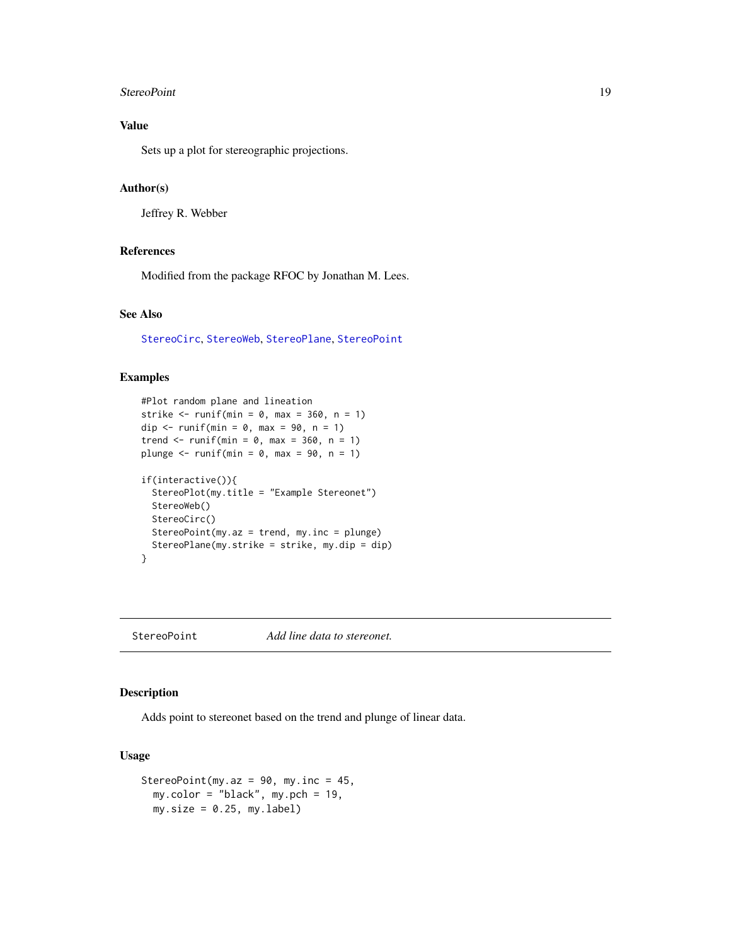#### <span id="page-18-0"></span>StereoPoint 19

## Value

Sets up a plot for stereographic projections.

#### Author(s)

Jeffrey R. Webber

#### References

Modified from the package RFOC by Jonathan M. Lees.

## See Also

[StereoCirc](#page-15-2), [StereoWeb](#page-20-1), [StereoPlane](#page-16-1), [StereoPoint](#page-18-1)

#### Examples

```
#Plot random plane and lineation
strike \le- runif(min = 0, max = 360, n = 1)
dip \leftarrow runif(min = 0, max = 90, n = 1)
trend \le runif(min = 0, max = 360, n = 1)
plunge \le runif(min = 0, max = 90, n = 1)
if(interactive()){
  StereoPlot(my.title = "Example Stereonet")
  StereoWeb()
  StereoCirc()
  StereoPoint(my.az = trend, my.inc = plunge)
  StereoPlane(my.strike = strike, my.dip = dip)
}
```
<span id="page-18-1"></span>StereoPoint *Add line data to stereonet.*

# Description

Adds point to stereonet based on the trend and plunge of linear data.

#### Usage

```
StereoPoint(my.az = 90, my.inc = 45,
 my.color = "black", my.pch = 19,
 my.size = 0.25, myu=label)
```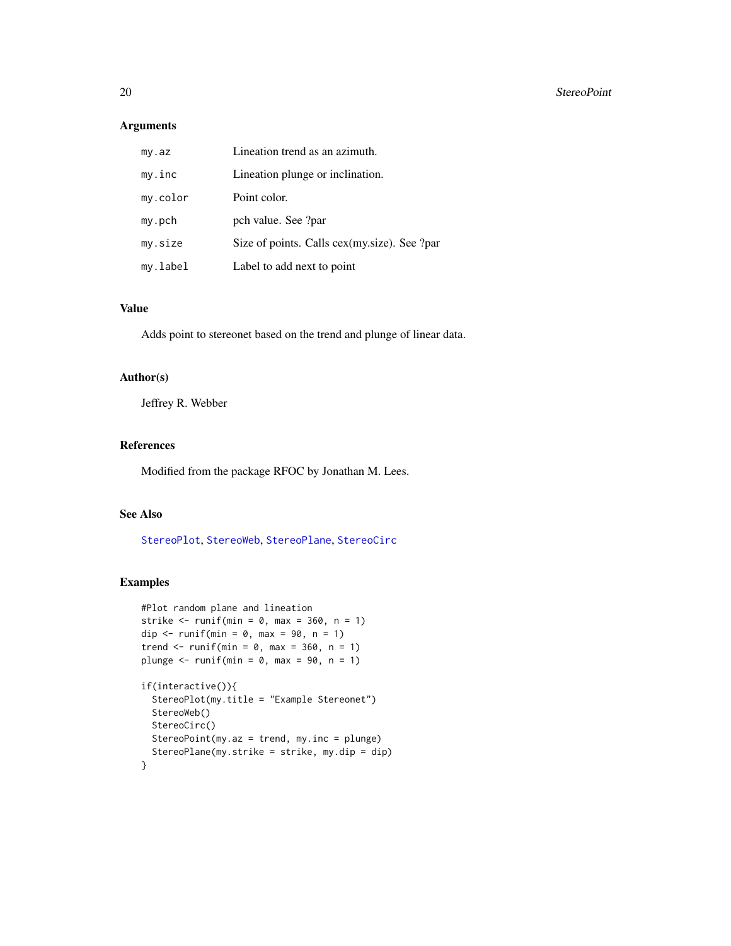## <span id="page-19-0"></span>Arguments

| my.az    | Lineation trend as an azimuth.               |
|----------|----------------------------------------------|
| my.inc   | Lineation plunge or inclination.             |
| my.color | Point color.                                 |
| my.pch   | pch value. See ?par                          |
| my.size  | Size of points. Calls cex(my.size). See ?par |
| my.label | Label to add next to point                   |

## Value

Adds point to stereonet based on the trend and plunge of linear data.

## Author(s)

Jeffrey R. Webber

## References

Modified from the package RFOC by Jonathan M. Lees.

#### See Also

[StereoPlot](#page-17-1), [StereoWeb](#page-20-1), [StereoPlane](#page-16-1), [StereoCirc](#page-15-2)

#### Examples

```
#Plot random plane and lineation
strike \le- runif(min = 0, max = 360, n = 1)
dip \leftarrow runif(min = 0, max = 90, n = 1)
trend \le runif(min = 0, max = 360, n = 1)
plunge \le runif(min = 0, max = 90, n = 1)
if(interactive()){
  StereoPlot(my.title = "Example Stereonet")
  StereoWeb()
  StereoCirc()
  StereoPoint(my.az = trend, my.inc = plunge)
  StereoPlane(my.strike = strike, my.dip = dip)
}
```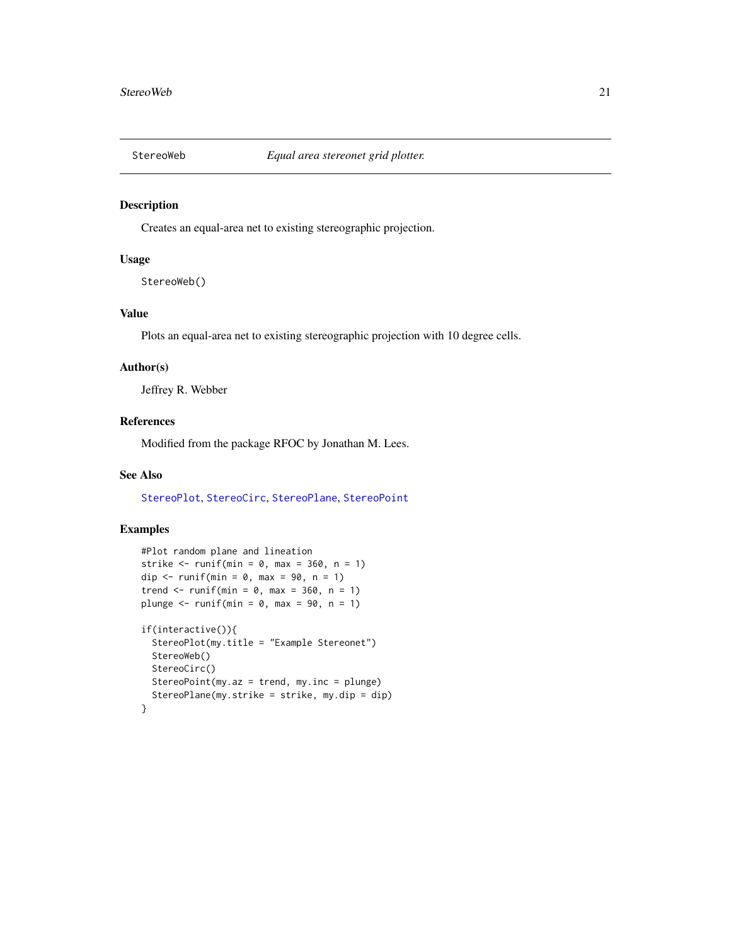<span id="page-20-1"></span><span id="page-20-0"></span>

Creates an equal-area net to existing stereographic projection.

#### Usage

StereoWeb()

## Value

Plots an equal-area net to existing stereographic projection with 10 degree cells.

## Author(s)

Jeffrey R. Webber

## References

Modified from the package RFOC by Jonathan M. Lees.

## See Also

[StereoPlot](#page-17-1), [StereoCirc](#page-15-2), [StereoPlane](#page-16-1), [StereoPoint](#page-18-1)

#### Examples

```
#Plot random plane and lineation
strike \le- runif(min = 0, max = 360, n = 1)
dip \leftarrow runif(min = 0, max = 90, n = 1)
trend \le runif(min = 0, max = 360, n = 1)
plunge \le runif(min = 0, max = 90, n = 1)
if(interactive()){
  StereoPlot(my.title = "Example Stereonet")
  StereoWeb()
  StereoCirc()
  StereoPoint(my.az = trend, my.inc = plunge)
  StereoPlane(my.strike = strike, my.dip = dip)
}
```